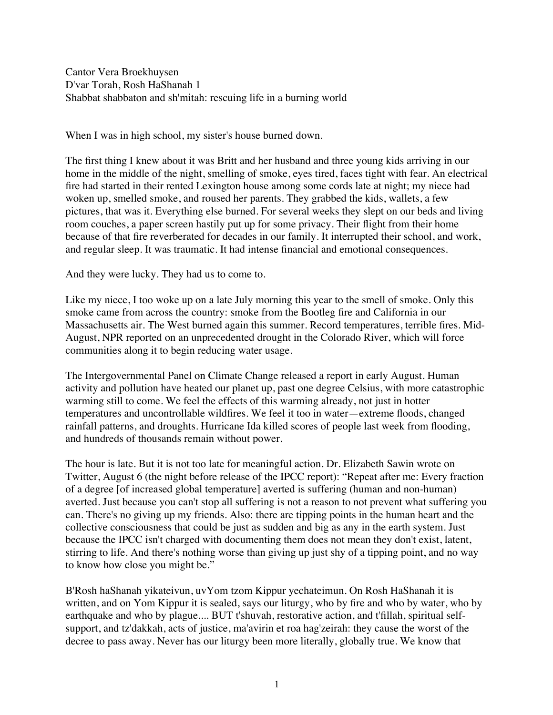Cantor Vera Broekhuysen D'var Torah, Rosh HaShanah 1 Shabbat shabbaton and sh'mitah: rescuing life in a burning world

When I was in high school, my sister's house burned down.

The first thing I knew about it was Britt and her husband and three young kids arriving in our home in the middle of the night, smelling of smoke, eyes tired, faces tight with fear. An electrical fire had started in their rented Lexington house among some cords late at night; my niece had woken up, smelled smoke, and roused her parents. They grabbed the kids, wallets, a few pictures, that was it. Everything else burned. For several weeks they slept on our beds and living room couches, a paper screen hastily put up for some privacy. Their flight from their home because of that fire reverberated for decades in our family. It interrupted their school, and work, and regular sleep. It was traumatic. It had intense financial and emotional consequences.

And they were lucky. They had us to come to.

Like my niece, I too woke up on a late July morning this year to the smell of smoke. Only this smoke came from across the country: smoke from the Bootleg fire and California in our Massachusetts air. The West burned again this summer. Record temperatures, terrible fires. Mid-August, NPR reported on an unprecedented drought in the Colorado River, which will force communities along it to begin reducing water usage.

The Intergovernmental Panel on Climate Change released a report in early August. Human activity and pollution have heated our planet up, past one degree Celsius, with more catastrophic warming still to come. We feel the effects of this warming already, not just in hotter temperatures and uncontrollable wildfires. We feel it too in water—extreme floods, changed rainfall patterns, and droughts. Hurricane Ida killed scores of people last week from flooding, and hundreds of thousands remain without power.

The hour is late. But it is not too late for meaningful action. Dr. Elizabeth Sawin wrote on Twitter, August 6 (the night before release of the IPCC report): "Repeat after me: Every fraction of a degree [of increased global temperature] averted is suffering (human and non-human) averted. Just because you can't stop all suffering is not a reason to not prevent what suffering you can. There's no giving up my friends. Also: there are tipping points in the human heart and the collective consciousness that could be just as sudden and big as any in the earth system. Just because the IPCC isn't charged with documenting them does not mean they don't exist, latent, stirring to life. And there's nothing worse than giving up just shy of a tipping point, and no way to know how close you might be."

B'Rosh haShanah yikateivun, uvYom tzom Kippur yechateimun. On Rosh HaShanah it is written, and on Yom Kippur it is sealed, says our liturgy, who by fire and who by water, who by earthquake and who by plague.... BUT t'shuvah, restorative action, and t'fillah, spiritual selfsupport, and tz'dakkah, acts of justice, ma'avirin et roa hag'zeirah: they cause the worst of the decree to pass away. Never has our liturgy been more literally, globally true. We know that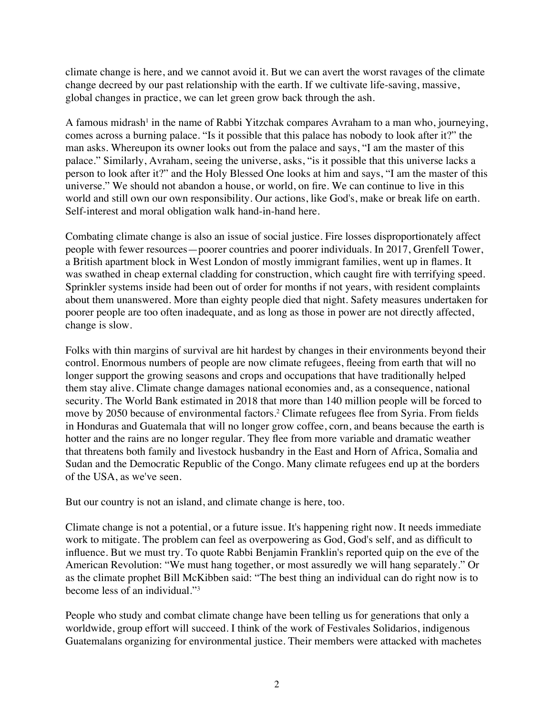climate change is here, and we cannot avoid it. But we can avert the worst ravages of the climate change decreed by our past relationship with the earth. If we cultivate life-saving, massive, global changes in practice, we can let green grow back through the ash.

A famous midrash<sup>1</sup> in the name of Rabbi Yitzchak compares Avraham to a man who, journeying, comes across a burning palace. "Is it possible that this palace has nobody to look after it?" the man asks. Whereupon its owner looks out from the palace and says, "I am the master of this palace." Similarly, Avraham, seeing the universe, asks, "is it possible that this universe lacks a person to look after it?" and the Holy Blessed One looks at him and says, "I am the master of this universe." We should not abandon a house, or world, on fire. We can continue to live in this world and still own our own responsibility. Our actions, like God's, make or break life on earth. Self-interest and moral obligation walk hand-in-hand here.

Combating climate change is also an issue of social justice. Fire losses disproportionately affect people with fewer resources—poorer countries and poorer individuals. In 2017, Grenfell Tower, a British apartment block in West London of mostly immigrant families, went up in flames. It was swathed in cheap external cladding for construction, which caught fire with terrifying speed. Sprinkler systems inside had been out of order for months if not years, with resident complaints about them unanswered. More than eighty people died that night. Safety measures undertaken for poorer people are too often inadequate, and as long as those in power are not directly affected, change is slow.

Folks with thin margins of survival are hit hardest by changes in their environments beyond their control. Enormous numbers of people are now climate refugees, fleeing from earth that will no longer support the growing seasons and crops and occupations that have traditionally helped them stay alive. Climate change damages national economies and, as a consequence, national security. The World Bank estimated in 2018 that more than 140 million people will be forced to move by 2050 because of environmental factors.<sup>2</sup> Climate refugees flee from Syria. From fields in Honduras and Guatemala that will no longer grow coffee, corn, and beans because the earth is hotter and the rains are no longer regular. They flee from more variable and dramatic weather that threatens both family and livestock husbandry in the East and Horn of Africa, Somalia and Sudan and the Democratic Republic of the Congo. Many climate refugees end up at the borders of the USA, as we've seen.

But our country is not an island, and climate change is here, too.

Climate change is not a potential, or a future issue. It's happening right now. It needs immediate work to mitigate. The problem can feel as overpowering as God, God's self, and as difficult to influence. But we must try. To quote Rabbi Benjamin Franklin's reported quip on the eve of the American Revolution: "We must hang together, or most assuredly we will hang separately." Or as the climate prophet Bill McKibben said: "The best thing an individual can do right now is to become less of an individual."3

People who study and combat climate change have been telling us for generations that only a worldwide, group effort will succeed. I think of the work of Festivales Solidarios, indigenous Guatemalans organizing for environmental justice. Their members were attacked with machetes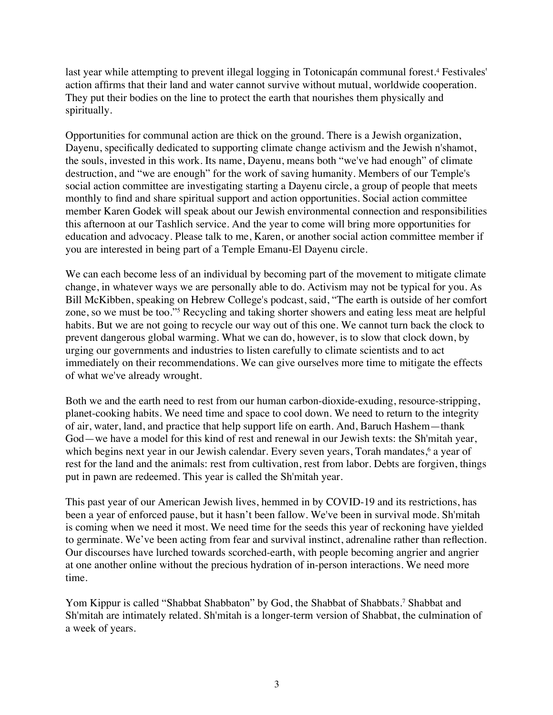last year while attempting to prevent illegal logging in Totonicapán communal forest.4 Festivales' action affirms that their land and water cannot survive without mutual, worldwide cooperation. They put their bodies on the line to protect the earth that nourishes them physically and spiritually.

Opportunities for communal action are thick on the ground. There is a Jewish organization, Dayenu, specifically dedicated to supporting climate change activism and the Jewish n'shamot, the souls, invested in this work. Its name, Dayenu, means both "we've had enough" of climate destruction, and "we are enough" for the work of saving humanity. Members of our Temple's social action committee are investigating starting a Dayenu circle, a group of people that meets monthly to find and share spiritual support and action opportunities. Social action committee member Karen Godek will speak about our Jewish environmental connection and responsibilities this afternoon at our Tashlich service. And the year to come will bring more opportunities for education and advocacy. Please talk to me, Karen, or another social action committee member if you are interested in being part of a Temple Emanu-El Dayenu circle.

We can each become less of an individual by becoming part of the movement to mitigate climate change, in whatever ways we are personally able to do. Activism may not be typical for you. As Bill McKibben, speaking on Hebrew College's podcast, said, "The earth is outside of her comfort zone, so we must be too."5 Recycling and taking shorter showers and eating less meat are helpful habits. But we are not going to recycle our way out of this one. We cannot turn back the clock to prevent dangerous global warming. What we can do, however, is to slow that clock down, by urging our governments and industries to listen carefully to climate scientists and to act immediately on their recommendations. We can give ourselves more time to mitigate the effects of what we've already wrought.

Both we and the earth need to rest from our human carbon-dioxide-exuding, resource-stripping, planet-cooking habits. We need time and space to cool down. We need to return to the integrity of air, water, land, and practice that help support life on earth. And, Baruch Hashem—thank God—we have a model for this kind of rest and renewal in our Jewish texts: the Sh'mitah year, which begins next year in our Jewish calendar. Every seven years, Torah mandates,<sup>6</sup> a year of rest for the land and the animals: rest from cultivation, rest from labor. Debts are forgiven, things put in pawn are redeemed. This year is called the Sh'mitah year.

This past year of our American Jewish lives, hemmed in by COVID-19 and its restrictions, has been a year of enforced pause, but it hasn't been fallow. We've been in survival mode. Sh'mitah is coming when we need it most. We need time for the seeds this year of reckoning have yielded to germinate. We've been acting from fear and survival instinct, adrenaline rather than reflection. Our discourses have lurched towards scorched-earth, with people becoming angrier and angrier at one another online without the precious hydration of in-person interactions. We need more time.

Yom Kippur is called "Shabbat Shabbaton" by God, the Shabbat of Shabbats.7 Shabbat and Sh'mitah are intimately related. Sh'mitah is a longer-term version of Shabbat, the culmination of a week of years.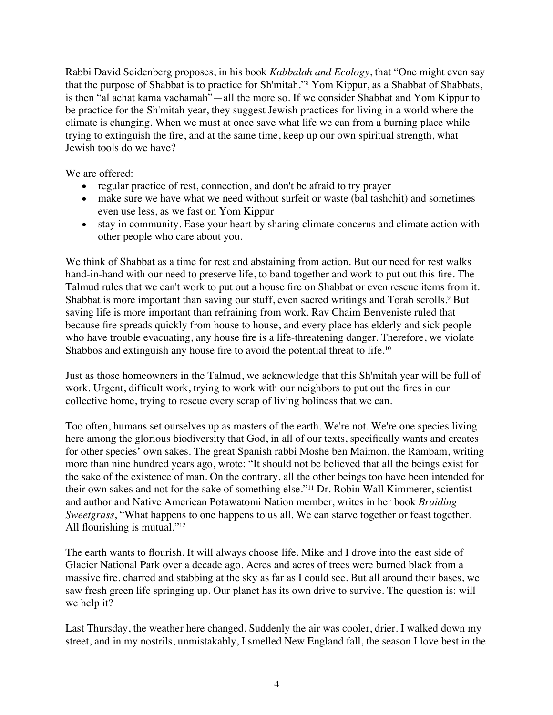Rabbi David Seidenberg proposes, in his book *Kabbalah and Ecology*, that "One might even say that the purpose of Shabbat is to practice for Sh'mitah."8 Yom Kippur, as a Shabbat of Shabbats, is then "al achat kama vachamah"—all the more so. If we consider Shabbat and Yom Kippur to be practice for the Sh'mitah year, they suggest Jewish practices for living in a world where the climate is changing. When we must at once save what life we can from a burning place while trying to extinguish the fire, and at the same time, keep up our own spiritual strength, what Jewish tools do we have?

We are offered:

- regular practice of rest, connection, and don't be afraid to try prayer
- make sure we have what we need without surfeit or waste (bal tashchit) and sometimes even use less, as we fast on Yom Kippur
- stay in community. Ease your heart by sharing climate concerns and climate action with other people who care about you.

We think of Shabbat as a time for rest and abstaining from action. But our need for rest walks hand-in-hand with our need to preserve life, to band together and work to put out this fire. The Talmud rules that we can't work to put out a house fire on Shabbat or even rescue items from it. Shabbat is more important than saving our stuff, even sacred writings and Torah scrolls.<sup>9</sup> But saving life is more important than refraining from work. Rav Chaim Benveniste ruled that because fire spreads quickly from house to house, and every place has elderly and sick people who have trouble evacuating, any house fire is a life-threatening danger. Therefore, we violate Shabbos and extinguish any house fire to avoid the potential threat to life.<sup>10</sup>

Just as those homeowners in the Talmud, we acknowledge that this Sh'mitah year will be full of work. Urgent, difficult work, trying to work with our neighbors to put out the fires in our collective home, trying to rescue every scrap of living holiness that we can.

Too often, humans set ourselves up as masters of the earth. We're not. We're one species living here among the glorious biodiversity that God, in all of our texts, specifically wants and creates for other species' own sakes. The great Spanish rabbi Moshe ben Maimon, the Rambam, writing more than nine hundred years ago, wrote: "It should not be believed that all the beings exist for the sake of the existence of man. On the contrary, all the other beings too have been intended for their own sakes and not for the sake of something else."11 Dr. Robin Wall Kimmerer, scientist and author and Native American Potawatomi Nation member, writes in her book *Braiding Sweetgrass*, "What happens to one happens to us all. We can starve together or feast together. All flourishing is mutual."12

The earth wants to flourish. It will always choose life. Mike and I drove into the east side of Glacier National Park over a decade ago. Acres and acres of trees were burned black from a massive fire, charred and stabbing at the sky as far as I could see. But all around their bases, we saw fresh green life springing up. Our planet has its own drive to survive. The question is: will we help it?

Last Thursday, the weather here changed. Suddenly the air was cooler, drier. I walked down my street, and in my nostrils, unmistakably, I smelled New England fall, the season I love best in the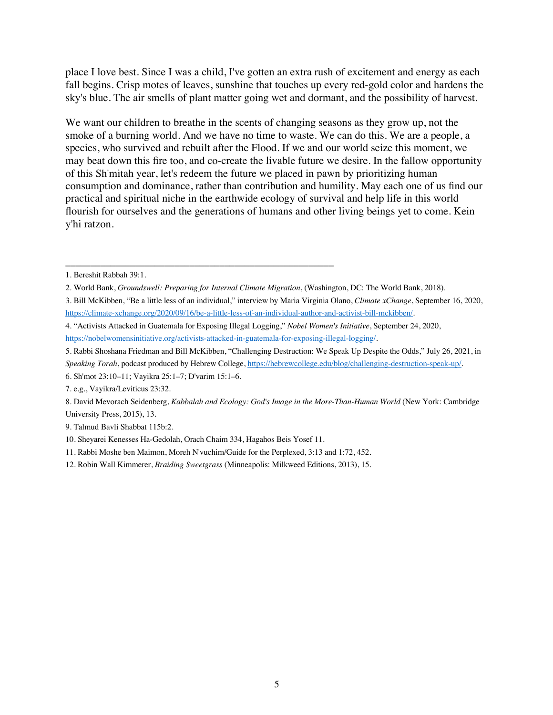place I love best. Since I was a child, I've gotten an extra rush of excitement and energy as each fall begins. Crisp motes of leaves, sunshine that touches up every red-gold color and hardens the sky's blue. The air smells of plant matter going wet and dormant, and the possibility of harvest.

We want our children to breathe in the scents of changing seasons as they grow up, not the smoke of a burning world. And we have no time to waste. We can do this. We are a people, a species, who survived and rebuilt after the Flood. If we and our world seize this moment, we may beat down this fire too, and co-create the livable future we desire. In the fallow opportunity of this Sh'mitah year, let's redeem the future we placed in pawn by prioritizing human consumption and dominance, rather than contribution and humility. May each one of us find our practical and spiritual niche in the earthwide ecology of survival and help life in this world flourish for ourselves and the generations of humans and other living beings yet to come. Kein y'hi ratzon.

\_\_\_\_\_\_\_\_\_\_\_\_\_\_\_\_\_\_\_\_\_\_\_\_\_\_\_\_\_\_\_\_\_\_\_\_\_\_\_\_\_\_\_\_\_\_\_\_\_\_\_\_\_\_

<sup>1.</sup> Bereshit Rabbah 39:1.

<sup>2.</sup> World Bank, *Groundswell: Preparing for Internal Climate Migration*, (Washington, DC: The World Bank, 2018).

<sup>3.</sup> Bill McKibben, "Be a little less of an individual," interview by Maria Virginia Olano, *Climate xChange*, September 16, 2020, https://climate-xchange.org/2020/09/16/be-a-little-less-of-an-individual-author-and-activist-bill-mckibben/.

<sup>4. &</sup>quot;Activists Attacked in Guatemala for Exposing Illegal Logging," *Nobel Women's Initiative*, September 24, 2020, https://nobelwomensinitiative.org/activists-attacked-in-guatemala-for-exposing-illegal-logging/.

<sup>5.</sup> Rabbi Shoshana Friedman and Bill McKibben, "Challenging Destruction: We Speak Up Despite the Odds," July 26, 2021, in

*Speaking Torah*, podcast produced by Hebrew College, https://hebrewcollege.edu/blog/challenging-destruction-speak-up/.

<sup>6.</sup> Sh'mot 23:10–11; Vayikra 25:1–7; D'varim 15:1–6.

<sup>7.</sup> e.g., Vayikra/Leviticus 23:32.

<sup>8.</sup> David Mevorach Seidenberg, *Kabbalah and Ecology: God's Image in the More-Than-Human World* (New York: Cambridge University Press, 2015), 13.

<sup>9.</sup> Talmud Bavli Shabbat 115b:2.

<sup>10.</sup> Sheyarei Kenesses Ha-Gedolah, Orach Chaim 334, Hagahos Beis Yosef 11.

<sup>11.</sup> Rabbi Moshe ben Maimon, Moreh N'vuchim/Guide for the Perplexed, 3:13 and 1:72, 452.

<sup>12.</sup> Robin Wall Kimmerer, *Braiding Sweetgrass* (Minneapolis: Milkweed Editions, 2013), 15.